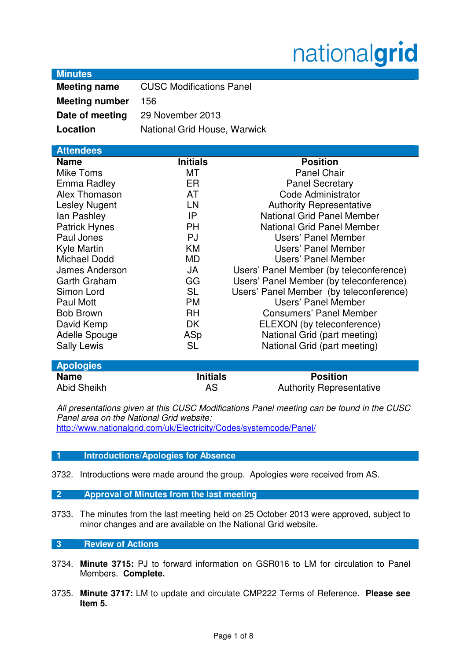# nationalgrid

## **Minutes**

| <b>Meeting name</b>   | <b>CUSC Modifications Panel</b> |
|-----------------------|---------------------------------|
| <b>Meeting number</b> | 156                             |
| Date of meeting       | 29 November 2013                |
| Location              | National Grid House, Warwick    |

# **Attendees Name Initials Position** Mike Toms **MT** Panel Chair Emma Radley **ER** Panel Secretary Alex Thomason **AT** AT Code Administrator Lesley Nugent **LN** LN Authority Representative Ian Pashley **IP** National Grid Panel Member Patrick Hynes **PH** National Grid Panel Member Paul Jones **PJ** PJ Users' Panel Member Kyle Martin KM Users' Panel Member Michael Dodd MD Users' Panel Member James Anderson JA Users' Panel Member (by teleconference) Garth Graham GG Users' Panel Member (by teleconference) Simon Lord SL Users' Panel Member (by teleconference) Paul Mott **PM** PM Users' Panel Member Bob Brown RH Consumers' Panel Member David Kemp **DK** ELEXON (by teleconference) Adelle Spouge **ASP** National Grid (part meeting) Sally Lewis SL SL National Grid (part meeting)

| <b>Apologies</b> |                 |                                 |  |
|------------------|-----------------|---------------------------------|--|
| <b>Name</b>      | <b>Initials</b> | <b>Position</b>                 |  |
| Abid Sheikh      | AS              | <b>Authority Representative</b> |  |

All presentations given at this CUSC Modifications Panel meeting can be found in the CUSC Panel area on the National Grid website: http://www.nationalgrid.com/uk/Electricity/Codes/systemcode/Panel/

## **1 Introductions/Apologies for Absence**

3732. Introductions were made around the group. Apologies were received from AS.

#### **2 Approval of Minutes from the last meeting**

3733. The minutes from the last meeting held on 25 October 2013 were approved, subject to minor changes and are available on the National Grid website.

# **3 Review of Actions**

- 3734. **Minute 3715:** PJ to forward information on GSR016 to LM for circulation to Panel Members. **Complete.**
- 3735. **Minute 3717:** LM to update and circulate CMP222 Terms of Reference. **Please see Item 5.**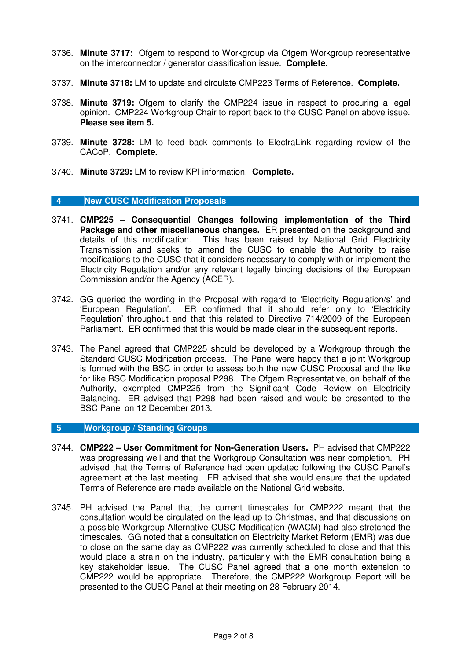- 3736. **Minute 3717:** Ofgem to respond to Workgroup via Ofgem Workgroup representative on the interconnector / generator classification issue. **Complete.**
- 3737. **Minute 3718:** LM to update and circulate CMP223 Terms of Reference. **Complete.**
- 3738. **Minute 3719:** Ofgem to clarify the CMP224 issue in respect to procuring a legal opinion. CMP224 Workgroup Chair to report back to the CUSC Panel on above issue. **Please see item 5.**
- 3739. **Minute 3728:** LM to feed back comments to ElectraLink regarding review of the CACoP. **Complete.**
- 3740. **Minute 3729:** LM to review KPI information. **Complete.**

#### **4 New CUSC Modification Proposals**

- 3741. **CMP225 Consequential Changes following implementation of the Third Package and other miscellaneous changes.** ER presented on the background and details of this modification. This has been raised by National Grid Electricity Transmission and seeks to amend the CUSC to enable the Authority to raise modifications to the CUSC that it considers necessary to comply with or implement the Electricity Regulation and/or any relevant legally binding decisions of the European Commission and/or the Agency (ACER).
- 3742. GG queried the wording in the Proposal with regard to 'Electricity Regulation/s' and 'European Regulation'. ER confirmed that it should refer only to 'Electricity Regulation' throughout and that this related to Directive 714/2009 of the European Parliament. ER confirmed that this would be made clear in the subsequent reports.
- 3743. The Panel agreed that CMP225 should be developed by a Workgroup through the Standard CUSC Modification process. The Panel were happy that a joint Workgroup is formed with the BSC in order to assess both the new CUSC Proposal and the like for like BSC Modification proposal P298. The Ofgem Representative, on behalf of the Authority, exempted CMP225 from the Significant Code Review on Electricity Balancing. ER advised that P298 had been raised and would be presented to the BSC Panel on 12 December 2013.

#### **5 Workgroup / Standing Groups**

- 3744. **CMP222 User Commitment for Non-Generation Users.** PH advised that CMP222 was progressing well and that the Workgroup Consultation was near completion. PH advised that the Terms of Reference had been updated following the CUSC Panel's agreement at the last meeting. ER advised that she would ensure that the updated Terms of Reference are made available on the National Grid website.
- 3745. PH advised the Panel that the current timescales for CMP222 meant that the consultation would be circulated on the lead up to Christmas, and that discussions on a possible Workgroup Alternative CUSC Modification (WACM) had also stretched the timescales. GG noted that a consultation on Electricity Market Reform (EMR) was due to close on the same day as CMP222 was currently scheduled to close and that this would place a strain on the industry, particularly with the EMR consultation being a key stakeholder issue. The CUSC Panel agreed that a one month extension to CMP222 would be appropriate. Therefore, the CMP222 Workgroup Report will be presented to the CUSC Panel at their meeting on 28 February 2014.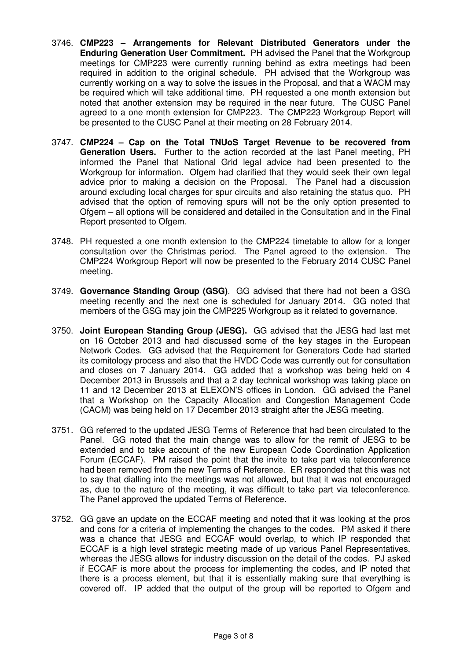- 3746. **CMP223 Arrangements for Relevant Distributed Generators under the Enduring Generation User Commitment.** PH advised the Panel that the Workgroup meetings for CMP223 were currently running behind as extra meetings had been required in addition to the original schedule. PH advised that the Workgroup was currently working on a way to solve the issues in the Proposal, and that a WACM may be required which will take additional time. PH requested a one month extension but noted that another extension may be required in the near future. The CUSC Panel agreed to a one month extension for CMP223. The CMP223 Workgroup Report will be presented to the CUSC Panel at their meeting on 28 February 2014.
- 3747. **CMP224 Cap on the Total TNUoS Target Revenue to be recovered from Generation Users.** Further to the action recorded at the last Panel meeting, PH informed the Panel that National Grid legal advice had been presented to the Workgroup for information. Ofgem had clarified that they would seek their own legal advice prior to making a decision on the Proposal. The Panel had a discussion around excluding local charges for spur circuits and also retaining the status quo. PH advised that the option of removing spurs will not be the only option presented to Ofgem – all options will be considered and detailed in the Consultation and in the Final Report presented to Ofgem.
- 3748. PH requested a one month extension to the CMP224 timetable to allow for a longer consultation over the Christmas period. The Panel agreed to the extension. The CMP224 Workgroup Report will now be presented to the February 2014 CUSC Panel meeting.
- 3749. **Governance Standing Group (GSG)**. GG advised that there had not been a GSG meeting recently and the next one is scheduled for January 2014. GG noted that members of the GSG may join the CMP225 Workgroup as it related to governance.
- 3750. **Joint European Standing Group (JESG).** GG advised that the JESG had last met on 16 October 2013 and had discussed some of the key stages in the European Network Codes. GG advised that the Requirement for Generators Code had started its comitology process and also that the HVDC Code was currently out for consultation and closes on 7 January 2014. GG added that a workshop was being held on 4 December 2013 in Brussels and that a 2 day technical workshop was taking place on 11 and 12 December 2013 at ELEXON'S offices in London. GG advised the Panel that a Workshop on the Capacity Allocation and Congestion Management Code (CACM) was being held on 17 December 2013 straight after the JESG meeting.
- 3751. GG referred to the updated JESG Terms of Reference that had been circulated to the Panel. GG noted that the main change was to allow for the remit of JESG to be extended and to take account of the new European Code Coordination Application Forum (ECCAF). PM raised the point that the invite to take part via teleconference had been removed from the new Terms of Reference. ER responded that this was not to say that dialling into the meetings was not allowed, but that it was not encouraged as, due to the nature of the meeting, it was difficult to take part via teleconference. The Panel approved the updated Terms of Reference.
- 3752. GG gave an update on the ECCAF meeting and noted that it was looking at the pros and cons for a criteria of implementing the changes to the codes. PM asked if there was a chance that JESG and ECCAF would overlap, to which IP responded that ECCAF is a high level strategic meeting made of up various Panel Representatives, whereas the JESG allows for industry discussion on the detail of the codes. PJ asked if ECCAF is more about the process for implementing the codes, and IP noted that there is a process element, but that it is essentially making sure that everything is covered off. IP added that the output of the group will be reported to Ofgem and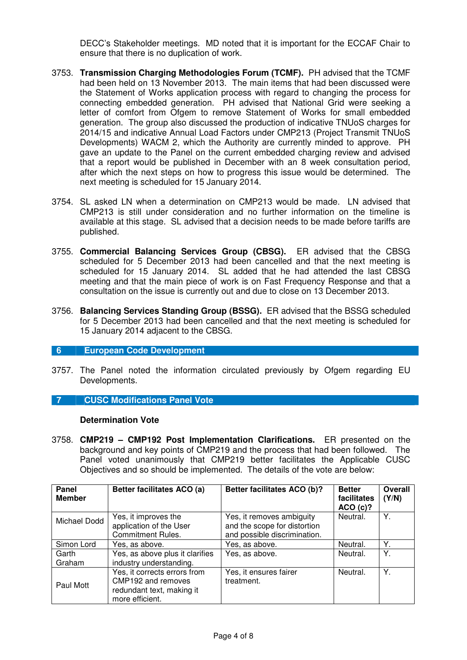DECC's Stakeholder meetings. MD noted that it is important for the ECCAF Chair to ensure that there is no duplication of work.

- 3753. **Transmission Charging Methodologies Forum (TCMF).** PH advised that the TCMF had been held on 13 November 2013. The main items that had been discussed were the Statement of Works application process with regard to changing the process for connecting embedded generation. PH advised that National Grid were seeking a letter of comfort from Ofgem to remove Statement of Works for small embedded generation. The group also discussed the production of indicative TNUoS charges for 2014/15 and indicative Annual Load Factors under CMP213 (Project Transmit TNUoS Developments) WACM 2, which the Authority are currently minded to approve. PH gave an update to the Panel on the current embedded charging review and advised that a report would be published in December with an 8 week consultation period, after which the next steps on how to progress this issue would be determined. The next meeting is scheduled for 15 January 2014.
- 3754. SL asked LN when a determination on CMP213 would be made. LN advised that CMP213 is still under consideration and no further information on the timeline is available at this stage. SL advised that a decision needs to be made before tariffs are published.
- 3755. **Commercial Balancing Services Group (CBSG).** ER advised that the CBSG scheduled for 5 December 2013 had been cancelled and that the next meeting is scheduled for 15 January 2014. SL added that he had attended the last CBSG meeting and that the main piece of work is on Fast Frequency Response and that a consultation on the issue is currently out and due to close on 13 December 2013.
- 3756. **Balancing Services Standing Group (BSSG).** ER advised that the BSSG scheduled for 5 December 2013 had been cancelled and that the next meeting is scheduled for 15 January 2014 adjacent to the CBSG.

#### **6 European Code Development**

3757. The Panel noted the information circulated previously by Ofgem regarding EU Developments.

## **7 CUSC Modifications Panel Vote**

#### **Determination Vote**

3758. **CMP219 – CMP192 Post Implementation Clarifications.** ER presented on the background and key points of CMP219 and the process that had been followed. The Panel voted unanimously that CMP219 better facilitates the Applicable CUSC Objectives and so should be implemented. The details of the vote are below:

| Panel<br><b>Member</b> | Better facilitates ACO (a)                                                                         | Better facilitates ACO (b)?                                                               | <b>Better</b><br>facilitates<br>ACO(c)? | <b>Overall</b><br>(Y/N) |
|------------------------|----------------------------------------------------------------------------------------------------|-------------------------------------------------------------------------------------------|-----------------------------------------|-------------------------|
| Michael Dodd           | Yes, it improves the<br>application of the User<br><b>Commitment Rules.</b>                        | Yes, it removes ambiguity<br>and the scope for distortion<br>and possible discrimination. | Neutral.                                | Υ.                      |
| Simon Lord             | Yes, as above.                                                                                     | Yes, as above.                                                                            | Neutral.                                | Y.                      |
| Garth<br>Graham        | Yes, as above plus it clarifies<br>industry understanding.                                         | Yes, as above.                                                                            | Neutral.                                | Υ.                      |
| Paul Mott              | Yes, it corrects errors from<br>CMP192 and removes<br>redundant text, making it<br>more efficient. | Yes, it ensures fairer<br>treatment.                                                      | Neutral.                                | Y.                      |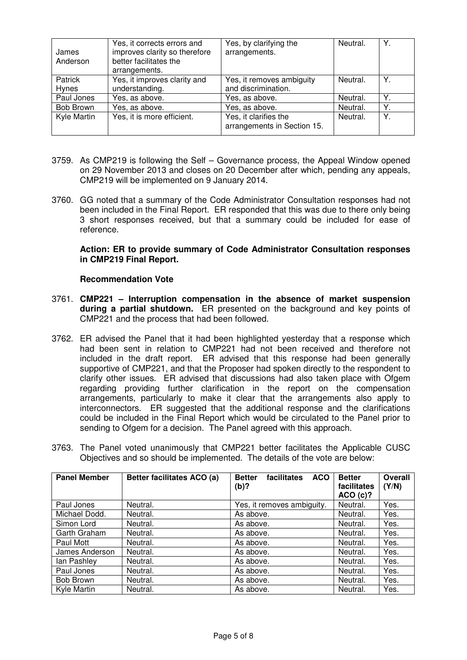| James<br>Anderson | Yes, it corrects errors and<br>improves clarity so therefore<br>better facilitates the<br>arrangements. | Yes, by clarifying the<br>arrangements.              | Neutral. | Υ. |
|-------------------|---------------------------------------------------------------------------------------------------------|------------------------------------------------------|----------|----|
| Patrick<br>Hynes  | Yes, it improves clarity and<br>understanding.                                                          | Yes, it removes ambiguity<br>and discrimination.     | Neutral. |    |
| Paul Jones        | Yes, as above.                                                                                          | Yes, as above.                                       | Neutral. |    |
| Bob Brown         | Yes, as above.                                                                                          | Yes, as above.                                       | Neutral. | Y. |
| Kyle Martin       | Yes, it is more efficient.                                                                              | Yes, it clarifies the<br>arrangements in Section 15. | Neutral. | Y. |

- 3759. As CMP219 is following the Self Governance process, the Appeal Window opened on 29 November 2013 and closes on 20 December after which, pending any appeals, CMP219 will be implemented on 9 January 2014.
- 3760. GG noted that a summary of the Code Administrator Consultation responses had not been included in the Final Report. ER responded that this was due to there only being 3 short responses received, but that a summary could be included for ease of reference.

#### **Action: ER to provide summary of Code Administrator Consultation responses in CMP219 Final Report.**

## **Recommendation Vote**

- 3761. **CMP221 Interruption compensation in the absence of market suspension during a partial shutdown.** ER presented on the background and key points of CMP221 and the process that had been followed.
- 3762. ER advised the Panel that it had been highlighted yesterday that a response which had been sent in relation to CMP221 had not been received and therefore not included in the draft report. ER advised that this response had been generally supportive of CMP221, and that the Proposer had spoken directly to the respondent to clarify other issues. ER advised that discussions had also taken place with Ofgem regarding providing further clarification in the report on the compensation arrangements, particularly to make it clear that the arrangements also apply to interconnectors. ER suggested that the additional response and the clarifications could be included in the Final Report which would be circulated to the Panel prior to sending to Ofgem for a decision. The Panel agreed with this approach.
- 3763. The Panel voted unanimously that CMP221 better facilitates the Applicable CUSC Objectives and so should be implemented. The details of the vote are below:

| <b>Panel Member</b> | Better facilitates ACO (a) | facilitates<br><b>ACO</b><br><b>Better</b><br>$(b)$ ? | <b>Better</b><br>facilitates<br>ACO(c)? | <b>Overall</b><br>(Y/N) |
|---------------------|----------------------------|-------------------------------------------------------|-----------------------------------------|-------------------------|
| Paul Jones          | Neutral.                   | Yes, it removes ambiguity.                            | Neutral.                                | Yes.                    |
| Michael Dodd.       | Neutral.                   | As above.                                             | Neutral.                                | Yes.                    |
| Simon Lord          | Neutral.                   | As above.                                             | Neutral.                                | Yes.                    |
| Garth Graham        | Neutral.                   | As above.                                             | Neutral.                                | Yes.                    |
| Paul Mott           | Neutral.                   | As above.                                             | Neutral.                                | Yes.                    |
| James Anderson      | Neutral.                   | As above.                                             | Neutral.                                | Yes.                    |
| lan Pashley         | Neutral.                   | As above.                                             | Neutral.                                | Yes.                    |
| Paul Jones          | Neutral.                   | As above.                                             | Neutral.                                | Yes.                    |
| Bob Brown           | Neutral.                   | As above.                                             | Neutral.                                | Yes.                    |
| Kyle Martin         | Neutral.                   | As above.                                             | Neutral.                                | Yes.                    |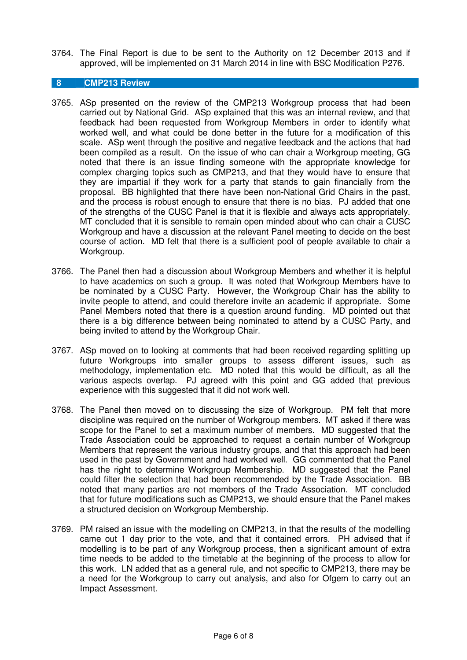3764. The Final Report is due to be sent to the Authority on 12 December 2013 and if approved, will be implemented on 31 March 2014 in line with BSC Modification P276.

# **8 CMP213 Review**

- 3765. ASp presented on the review of the CMP213 Workgroup process that had been carried out by National Grid. ASp explained that this was an internal review, and that feedback had been requested from Workgroup Members in order to identify what worked well, and what could be done better in the future for a modification of this scale. ASp went through the positive and negative feedback and the actions that had been compiled as a result. On the issue of who can chair a Workgroup meeting, GG noted that there is an issue finding someone with the appropriate knowledge for complex charging topics such as CMP213, and that they would have to ensure that they are impartial if they work for a party that stands to gain financially from the proposal. BB highlighted that there have been non-National Grid Chairs in the past, and the process is robust enough to ensure that there is no bias. PJ added that one of the strengths of the CUSC Panel is that it is flexible and always acts appropriately. MT concluded that it is sensible to remain open minded about who can chair a CUSC Workgroup and have a discussion at the relevant Panel meeting to decide on the best course of action. MD felt that there is a sufficient pool of people available to chair a Workgroup.
- 3766. The Panel then had a discussion about Workgroup Members and whether it is helpful to have academics on such a group. It was noted that Workgroup Members have to be nominated by a CUSC Party. However, the Workgroup Chair has the ability to invite people to attend, and could therefore invite an academic if appropriate. Some Panel Members noted that there is a question around funding. MD pointed out that there is a big difference between being nominated to attend by a CUSC Party, and being invited to attend by the Workgroup Chair.
- 3767. ASp moved on to looking at comments that had been received regarding splitting up future Workgroups into smaller groups to assess different issues, such as methodology, implementation etc. MD noted that this would be difficult, as all the various aspects overlap. PJ agreed with this point and GG added that previous experience with this suggested that it did not work well.
- 3768. The Panel then moved on to discussing the size of Workgroup. PM felt that more discipline was required on the number of Workgroup members. MT asked if there was scope for the Panel to set a maximum number of members. MD suggested that the Trade Association could be approached to request a certain number of Workgroup Members that represent the various industry groups, and that this approach had been used in the past by Government and had worked well. GG commented that the Panel has the right to determine Workgroup Membership. MD suggested that the Panel could filter the selection that had been recommended by the Trade Association. BB noted that many parties are not members of the Trade Association. MT concluded that for future modifications such as CMP213, we should ensure that the Panel makes a structured decision on Workgroup Membership.
- 3769. PM raised an issue with the modelling on CMP213, in that the results of the modelling came out 1 day prior to the vote, and that it contained errors. PH advised that if modelling is to be part of any Workgroup process, then a significant amount of extra time needs to be added to the timetable at the beginning of the process to allow for this work. LN added that as a general rule, and not specific to CMP213, there may be a need for the Workgroup to carry out analysis, and also for Ofgem to carry out an Impact Assessment.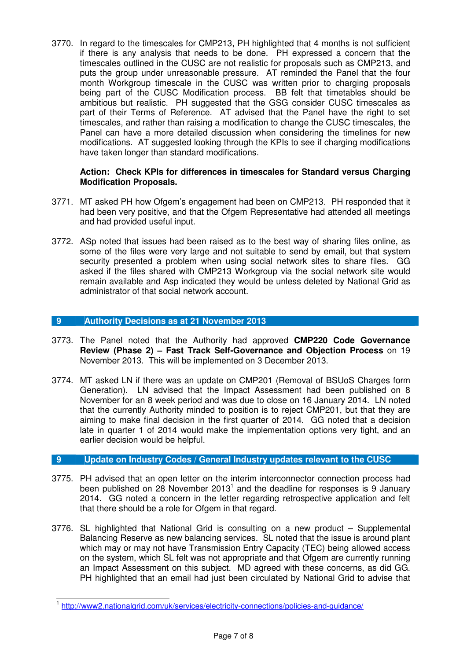3770. In regard to the timescales for CMP213, PH highlighted that 4 months is not sufficient if there is any analysis that needs to be done. PH expressed a concern that the timescales outlined in the CUSC are not realistic for proposals such as CMP213, and puts the group under unreasonable pressure. AT reminded the Panel that the four month Workgroup timescale in the CUSC was written prior to charging proposals being part of the CUSC Modification process. BB felt that timetables should be ambitious but realistic. PH suggested that the GSG consider CUSC timescales as part of their Terms of Reference. AT advised that the Panel have the right to set timescales, and rather than raising a modification to change the CUSC timescales, the Panel can have a more detailed discussion when considering the timelines for new modifications. AT suggested looking through the KPIs to see if charging modifications have taken longer than standard modifications.

#### **Action: Check KPIs for differences in timescales for Standard versus Charging Modification Proposals.**

- 3771. MT asked PH how Ofgem's engagement had been on CMP213. PH responded that it had been very positive, and that the Ofgem Representative had attended all meetings and had provided useful input.
- 3772. ASp noted that issues had been raised as to the best way of sharing files online, as some of the files were very large and not suitable to send by email, but that system security presented a problem when using social network sites to share files. GG asked if the files shared with CMP213 Workgroup via the social network site would remain available and Asp indicated they would be unless deleted by National Grid as administrator of that social network account.

## **9 Authority Decisions as at 21 November 2013**

- 3773. The Panel noted that the Authority had approved **CMP220 Code Governance Review (Phase 2) – Fast Track Self-Governance and Objection Process** on 19 November 2013. This will be implemented on 3 December 2013.
- 3774. MT asked LN if there was an update on CMP201 (Removal of BSUoS Charges form Generation). LN advised that the Impact Assessment had been published on 8 November for an 8 week period and was due to close on 16 January 2014. LN noted that the currently Authority minded to position is to reject CMP201, but that they are aiming to make final decision in the first quarter of 2014. GG noted that a decision late in quarter 1 of 2014 would make the implementation options very tight, and an earlier decision would be helpful.

## **9 Update on Industry Codes / General Industry updates relevant to the CUSC**

- 3775. PH advised that an open letter on the interim interconnector connection process had been published on 28 November 2013<sup>1</sup> and the deadline for responses is 9 January 2014. GG noted a concern in the letter regarding retrospective application and felt that there should be a role for Ofgem in that regard.
- 3776. SL highlighted that National Grid is consulting on a new product Supplemental Balancing Reserve as new balancing services. SL noted that the issue is around plant which may or may not have Transmission Entry Capacity (TEC) being allowed access on the system, which SL felt was not appropriate and that Ofgem are currently running an Impact Assessment on this subject. MD agreed with these concerns, as did GG. PH highlighted that an email had just been circulated by National Grid to advise that

<sup>1&</sup>lt;br>http://www2.nationalgrid.com/uk/services/electricity-connections/policies-and-guidance/